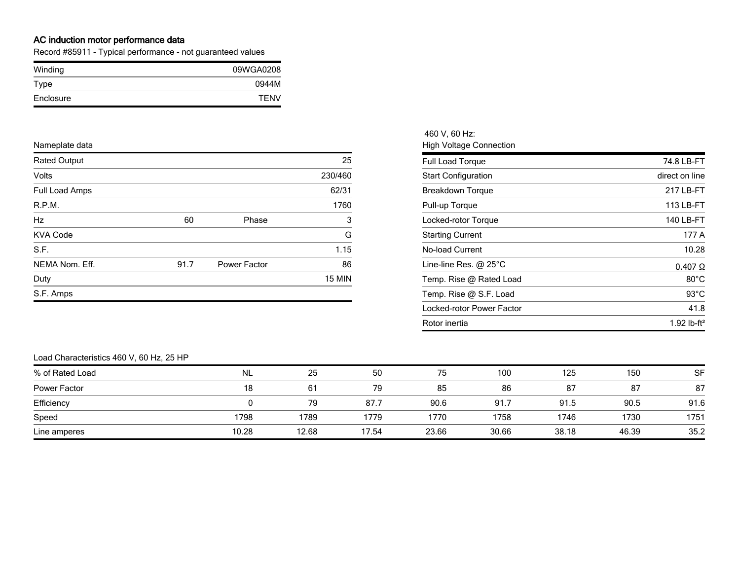## **AC induction motor performance data**

Record #85911 - Typical performance - not guaranteed values

| Winding   | 09WGA0208   |
|-----------|-------------|
| Type      | 0944M       |
| Enclosure | <b>TFNV</b> |

| Nameplate data      |      |              |               | <b>High Voltage Connection</b> |                |  |  |
|---------------------|------|--------------|---------------|--------------------------------|----------------|--|--|
| <b>Rated Output</b> |      |              | 25            | Full Load Torque               | 74.8 LB-FT     |  |  |
| Volts               |      |              | 230/460       | <b>Start Configuration</b>     | direct on line |  |  |
| Full Load Amps      |      |              | 62/31         | <b>Breakdown Torque</b>        | 217 LB-FT      |  |  |
| R.P.M.              |      |              | 1760          | Pull-up Torque                 | 113 LB-FT      |  |  |
| Hz                  | 60   | Phase        |               | Locked-rotor Torque            | 140 LB-FT      |  |  |
| <b>KVA Code</b>     |      |              | G             | <b>Starting Current</b>        | 177 A          |  |  |
| S.F.                |      |              | 1.15          | No-load Current                | 10.28          |  |  |
| NEMA Nom. Eff.      | 91.7 | Power Factor | 86            | Line-line Res. $@$ 25 $°C$     | $0.407 \Omega$ |  |  |
| Duty                |      |              | <b>15 MIN</b> | Temp. Rise @ Rated Load        | $80^{\circ}$ C |  |  |
| S.F. Amps           |      |              |               | Temp. Rise @ S.F. Load         | $93^{\circ}$ C |  |  |

| 460 V, 60 Hz:                  |                         |
|--------------------------------|-------------------------|
| <b>High Voltage Connection</b> |                         |
| <b>Full Load Torque</b>        | 74.8 LB-FT              |
| <b>Start Configuration</b>     | direct on line          |
| Breakdown Torque               | 217 LB-FT               |
| Pull-up Torque                 | 113 LB-FT               |
| Locked-rotor Torque            | 140 LB-FT               |
| <b>Starting Current</b>        | 177 A                   |
| <b>No-load Current</b>         | 10.28                   |
| Line-line Res. $@$ 25 $°C$     | $0.407$ $\Omega$        |
| Temp. Rise @ Rated Load        | $80^{\circ}$ C          |
| Temp. Rise @ S.F. Load         | $93^{\circ}$ C          |
| Locked-rotor Power Factor      | 41.8                    |
| Rotor inertia                  | 1.92 lb-ft <sup>2</sup> |

## Load Characteristics 460 V, 60 Hz, 25 HP

| % of Rated Load | <b>NL</b> | 25    | 50    | 75    | 100   | 125   | 150   | <b>SF</b> |
|-----------------|-----------|-------|-------|-------|-------|-------|-------|-----------|
| Power Factor    | 18        | 61    | 79    | 85    | 86    | 87    | 87    | 87        |
| Efficiency      |           | 79    | 87.7  | 90.6  | 91.7  | 91.5  | 90.5  | 91.6      |
| Speed           | 1798      | 1789  | 1779  | 1770  | 1758  | 1746  | 1730  | 1751      |
| Line amperes    | 10.28     | 12.68 | 17.54 | 23.66 | 30.66 | 38.18 | 46.39 | 35.2      |